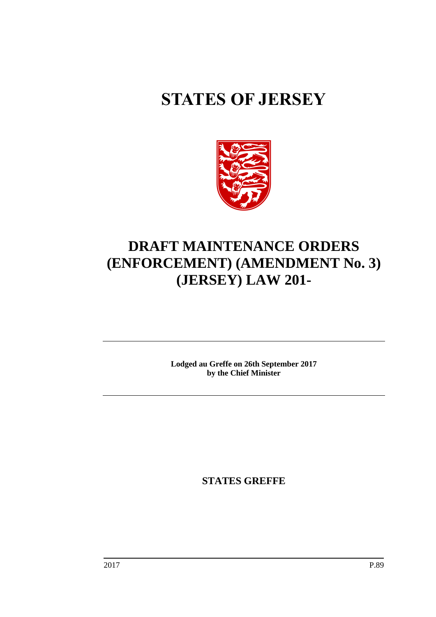# **STATES OF JERSEY**



## **DRAFT MAINTENANCE ORDERS (ENFORCEMENT) (AMENDMENT No. 3) (JERSEY) LAW 201-**

**Lodged au Greffe on 26th September 2017 by the Chief Minister**

**STATES GREFFE**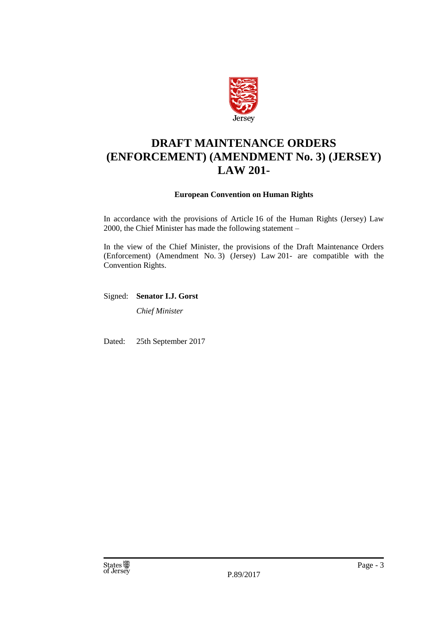

### **DRAFT MAINTENANCE ORDERS (ENFORCEMENT) (AMENDMENT No. 3) (JERSEY) LAW 201-**

#### **European Convention on Human Rights**

In accordance with the provisions of Article 16 of the Human Rights (Jersey) Law 2000, the Chief Minister has made the following statement –

In the view of the Chief Minister, the provisions of the Draft Maintenance Orders (Enforcement) (Amendment No. 3) (Jersey) Law 201- are compatible with the Convention Rights.

Signed: **Senator I.J. Gorst**

*Chief Minister*

Dated: 25th September 2017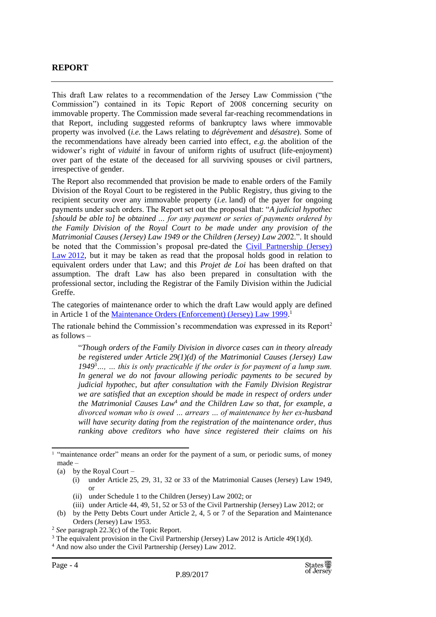#### **REPORT**

This draft Law relates to a recommendation of the Jersey Law Commission ("the Commission") contained in its Topic Report of 2008 concerning security on immovable property. The Commission made several far-reaching recommendations in that Report, including suggested reforms of bankruptcy laws where immovable property was involved (*i.e.* the Laws relating to *dégrèvement* and *désastre*). Some of the recommendations have already been carried into effect, *e.g.* the abolition of the widower's right of *viduité* in favour of uniform rights of usufruct (life-enjoyment) over part of the estate of the deceased for all surviving spouses or civil partners, irrespective of gender.

The Report also recommended that provision be made to enable orders of the Family Division of the Royal Court to be registered in the Public Registry, thus giving to the recipient security over any immovable property (*i.e.* land) of the payer for ongoing payments under such orders. The Report set out the proposal that: "*A judicial hypothec [should be able to] be obtained … for any payment or series of payments ordered by the Family Division of the Royal Court to be made under any provision of the Matrimonial Causes (Jersey) Law 1949 or the Children (Jersey) Law 200*2.". It should be noted that the Commission's proposal pre-dated the [Civil Partnership \(Jersey\)](https://www.jerseylaw.je/laws/revised/Pages/12.260.aspx)  Law [2012,](https://www.jerseylaw.je/laws/revised/Pages/12.260.aspx) but it may be taken as read that the proposal holds good in relation to equivalent orders under that Law; and this *Projet de Loi* has been drafted on that assumption. The draft Law has also been prepared in consultation with the professional sector, including the Registrar of the Family Division within the Judicial Greffe.

The categories of maintenance order to which the draft Law would apply are defined in Article 1 of the *Maintenance Orders (Enforcement) (Jersey) Law 1999*.<sup>1</sup>

The rationale behind the Commission's recommendation was expressed in its Report<sup>2</sup> as follows –

"*Though orders of the Family Division in divorce cases can in theory already be registered under Article 29(1)(d) of the Matrimonial Causes (Jersey) Law 1949*<sup>3</sup>*…, … this is only practicable if the order is for payment of a lump sum. In general we do not favour allowing periodic payments to be secured by judicial hypothec, but after consultation with the Family Division Registrar we are satisfied that an exception should be made in respect of orders under the Matrimonial Causes Law*<sup>4</sup> *and the Children Law so that, for example, a divorced woman who is owed … arrears … of maintenance by her ex-husband will have security dating from the registration of the maintenance order, thus ranking above creditors who have since registered their claims on his* 

- (ii) under Schedule 1 to the Children (Jersey) Law 2002; or
- (iii) under Article 44, 49, 51, 52 or 53 of the Civil Partnership (Jersey) Law 2012; or
- (b) by the Petty Debts Court under Article 2, 4, 5 or 7 of the Separation and Maintenance Orders (Jersey) Law 1953.

<sup>&</sup>lt;sup>1</sup> "maintenance order" means an order for the payment of a sum, or periodic sums, of money made –

<sup>(</sup>a) by the Royal Court –

<sup>(</sup>i) under Article 25, 29, 31, 32 or 33 of the Matrimonial Causes (Jersey) Law 1949, or

<sup>2</sup> *See* paragraph 22.3(c) of the Topic Report.

 $3$  The equivalent provision in the Civil Partnership (Jersey) Law 2012 is Article 49(1)(d).

<sup>4</sup> And now also under the Civil Partnership (Jersey) Law 2012.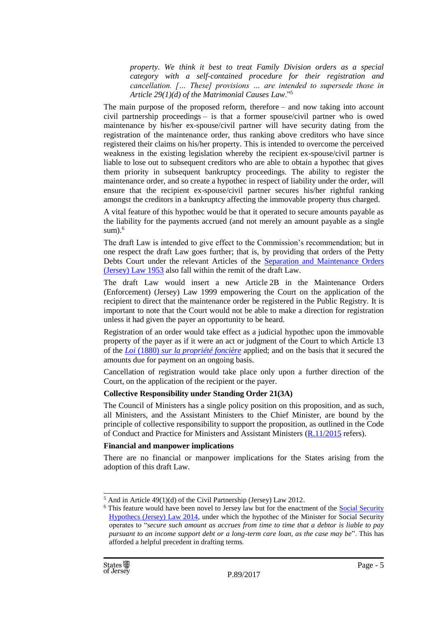*property. We think it best to treat Family Division orders as a special category with a self-contained procedure for their registration and cancellation. [… These] provisions … are intended to supersede those in Article 29(1)(d) of the Matrimonial Causes Law*."<sup>5</sup>

The main purpose of the proposed reform, therefore – and now taking into account civil partnership proceedings – is that a former spouse/civil partner who is owed maintenance by his/her ex-spouse/civil partner will have security dating from the registration of the maintenance order, thus ranking above creditors who have since registered their claims on his/her property. This is intended to overcome the perceived weakness in the existing legislation whereby the recipient ex-spouse/civil partner is liable to lose out to subsequent creditors who are able to obtain a hypothec that gives them priority in subsequent bankruptcy proceedings. The ability to register the maintenance order, and so create a hypothec in respect of liability under the order, will ensure that the recipient ex-spouse/civil partner secures his/her rightful ranking amongst the creditors in a bankruptcy affecting the immovable property thus charged.

A vital feature of this hypothec would be that it operated to secure amounts payable as the liability for the payments accrued (and not merely an amount payable as a single sum $.6<sup>6</sup>$ 

The draft Law is intended to give effect to the Commission's recommendation; but in one respect the draft Law goes further; that is, by providing that orders of the Petty Debts Court under the relevant Articles of the [Separation and Maintenance Orders](https://www.jerseylaw.je/laws/revised/Pages/12.800.aspx)  [\(Jersey\) Law](https://www.jerseylaw.je/laws/revised/Pages/12.800.aspx) 1953 also fall within the remit of the draft Law.

The draft Law would insert a new Article 2B in the Maintenance Orders (Enforcement) (Jersey) Law 1999 empowering the Court on the application of the recipient to direct that the maintenance order be registered in the Public Registry. It is important to note that the Court would not be able to make a direction for registration unless it had given the payer an opportunity to be heard.

Registration of an order would take effect as a judicial hypothec upon the immovable property of the payer as if it were an act or judgment of the Court to which Article 13 of the *Loi* (1880) *[sur la propriété foncière](https://www.jerseylaw.je/laws/revised/Pages/18.495.aspx)* applied; and on the basis that it secured the amounts due for payment on an ongoing basis.

Cancellation of registration would take place only upon a further direction of the Court, on the application of the recipient or the payer.

#### **Collective Responsibility under Standing Order 21(3A)**

The Council of Ministers has a single policy position on this proposition, and as such, all Ministers, and the Assistant Ministers to the Chief Minister, are bound by the principle of collective responsibility to support the proposition, as outlined in the Code of Conduct and Practice for Ministers and Assistant Ministers [\(R.11/2015](http://www.statesassembly.gov.je/AssemblyReports/2015/R.11-2015.pdf) refers).

#### **Financial and manpower implications**

There are no financial or manpower implications for the States arising from the adoption of this draft Law.

 $<sup>5</sup>$  And in Article 49(1)(d) of the Civil Partnership (Jersey) Law 2012.</sup>

<sup>&</sup>lt;sup>6</sup> This feature would have been novel to Jersey law but for the enactment of the Social Security [Hypothecs \(Jersey\) Law 2014,](https://www.jerseylaw.je/laws/revised/Pages/26.850.aspx) under which the hypothec of the Minister for Social Security operates to "*secure such amount as accrues from time to time that a debtor is liable to pay pursuant to an income support debt or a long-term care loan, as the case may be*". This has afforded a helpful precedent in drafting terms.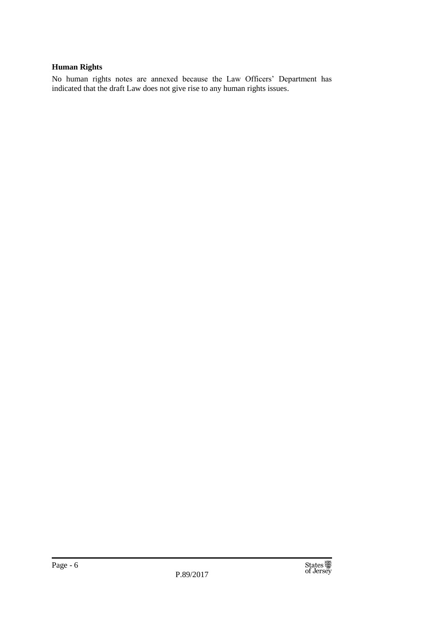#### **Human Rights**

No human rights notes are annexed because the Law Officers' Department has indicated that the draft Law does not give rise to any human rights issues.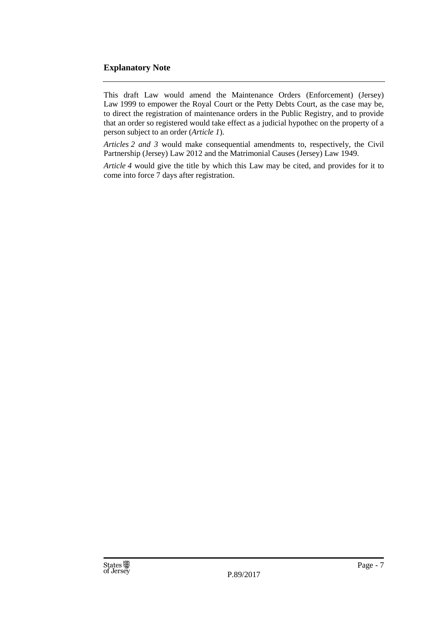#### **Explanatory Note**

This draft Law would amend the Maintenance Orders (Enforcement) (Jersey) Law 1999 to empower the Royal Court or the Petty Debts Court, as the case may be, to direct the registration of maintenance orders in the Public Registry, and to provide that an order so registered would take effect as a judicial hypothec on the property of a person subject to an order (*Article 1*).

*Articles 2 and 3* would make consequential amendments to, respectively, the Civil Partnership (Jersey) Law 2012 and the Matrimonial Causes (Jersey) Law 1949.

*Article 4* would give the title by which this Law may be cited, and provides for it to come into force 7 days after registration.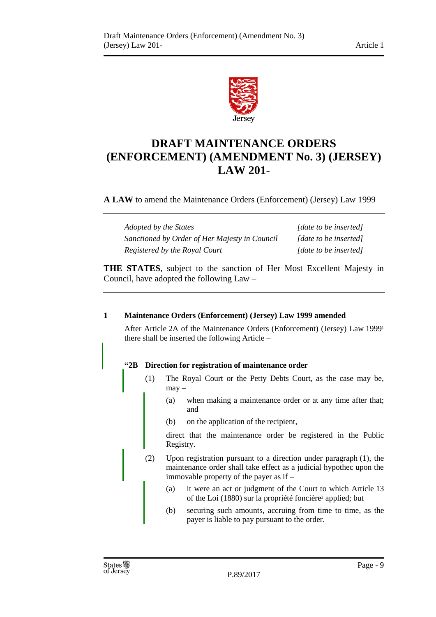

## **DRAFT MAINTENANCE ORDERS (ENFORCEMENT) (AMENDMENT No. 3) (JERSEY) LAW 201-**

**A LAW** to amend the Maintenance Orders (Enforcement) (Jersey) Law 1999

| Adopted by the States                         | [date to be inserted] |
|-----------------------------------------------|-----------------------|
| Sanctioned by Order of Her Majesty in Council | [date to be inserted] |
| Registered by the Royal Court                 | [date to be inserted] |

**THE STATES**, subject to the sanction of Her Most Excellent Majesty in Council, have adopted the following Law –

#### **1 Maintenance Orders (Enforcement) (Jersey) Law 1999 amended**

After Article 2A of the Maintenance Orders (Enforcement) (Jersey) Law 1999<sup>1</sup> there shall be inserted the following Article –

#### **"2B Direction for registration of maintenance order**

- (1) The Royal Court or the Petty Debts Court, as the case may be, may –
	- (a) when making a maintenance order or at any time after that; and
	- (b) on the application of the recipient,

direct that the maintenance order be registered in the Public Registry.

- (2) Upon registration pursuant to a direction under paragraph (1), the maintenance order shall take effect as a judicial hypothec upon the immovable property of the payer as if –
	- (a) it were an act or judgment of the Court to which Article 13 of the Loi (1880) sur la propriété foncière<sup>2</sup> applied; but
	- (b) securing such amounts, accruing from time to time, as the payer is liable to pay pursuant to the order.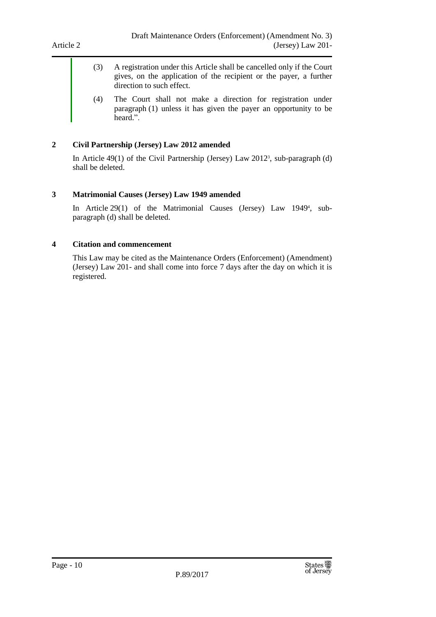- (3) A registration under this Article shall be cancelled only if the Court gives, on the application of the recipient or the payer, a further direction to such effect.
- (4) The Court shall not make a direction for registration under paragraph (1) unless it has given the payer an opportunity to be heard.".

#### **2 Civil Partnership (Jersey) Law 2012 amended**

In Article 49(1) of the Civil Partnership (Jersey) Law 2012<sup>3</sup> , sub-paragraph (d) shall be deleted.

#### **3 Matrimonial Causes (Jersey) Law 1949 amended**

In Article 29(1) of the Matrimonial Causes (Jersey) Law 1949<sup>4</sup> , subparagraph (d) shall be deleted.

#### **4 Citation and commencement**

This Law may be cited as the Maintenance Orders (Enforcement) (Amendment) (Jersey) Law 201- and shall come into force 7 days after the day on which it is registered.